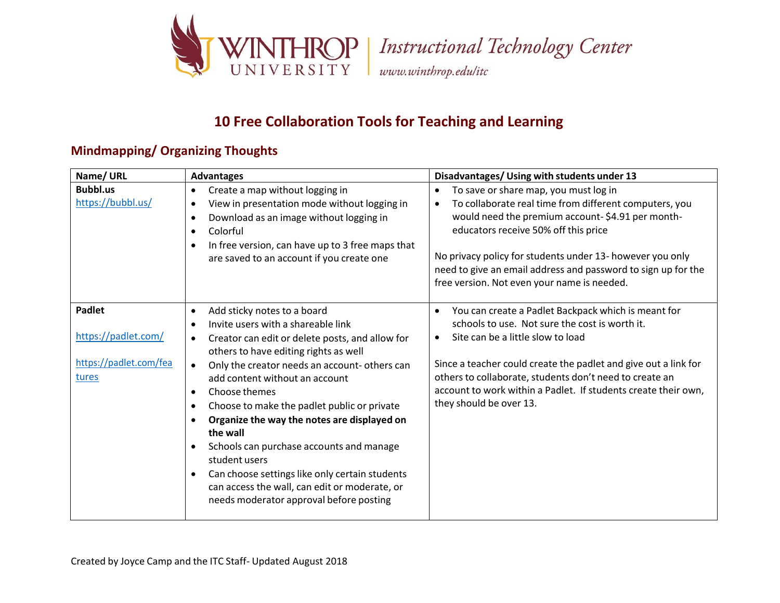

### **10 Free Collaboration Tools for Teaching and Learning**

#### **Mindmapping/ Organizing Thoughts**

| Name/URL                                                                | <b>Advantages</b>                                                                                                                                                                                                                                                                                                                                                                                                                                                                                                                                                                                                                                       | Disadvantages/ Using with students under 13                                                                                                                                                                                                                                                                                                                                                        |
|-------------------------------------------------------------------------|---------------------------------------------------------------------------------------------------------------------------------------------------------------------------------------------------------------------------------------------------------------------------------------------------------------------------------------------------------------------------------------------------------------------------------------------------------------------------------------------------------------------------------------------------------------------------------------------------------------------------------------------------------|----------------------------------------------------------------------------------------------------------------------------------------------------------------------------------------------------------------------------------------------------------------------------------------------------------------------------------------------------------------------------------------------------|
| <b>Bubbl.us</b><br>https://bubbl.us/                                    | Create a map without logging in<br>$\bullet$<br>View in presentation mode without logging in<br>$\bullet$<br>Download as an image without logging in<br>$\bullet$<br>Colorful<br>$\bullet$<br>In free version, can have up to 3 free maps that<br>$\bullet$<br>are saved to an account if you create one                                                                                                                                                                                                                                                                                                                                                | To save or share map, you must log in<br>$\bullet$<br>To collaborate real time from different computers, you<br>$\bullet$<br>would need the premium account-\$4.91 per month-<br>educators receive 50% off this price<br>No privacy policy for students under 13- however you only<br>need to give an email address and password to sign up for the<br>free version. Not even your name is needed. |
| <b>Padlet</b><br>https://padlet.com/<br>https://padlet.com/fea<br>tures | Add sticky notes to a board<br>$\bullet$<br>Invite users with a shareable link<br>Creator can edit or delete posts, and allow for<br>$\bullet$<br>others to have editing rights as well<br>Only the creator needs an account- others can<br>$\bullet$<br>add content without an account<br>Choose themes<br>$\bullet$<br>Choose to make the padlet public or private<br>$\bullet$<br>Organize the way the notes are displayed on<br>the wall<br>Schools can purchase accounts and manage<br>student users<br>Can choose settings like only certain students<br>can access the wall, can edit or moderate, or<br>needs moderator approval before posting | You can create a Padlet Backpack which is meant for<br>$\bullet$<br>schools to use. Not sure the cost is worth it.<br>Site can be a little slow to load<br>$\bullet$<br>Since a teacher could create the padlet and give out a link for<br>others to collaborate, students don't need to create an<br>account to work within a Padlet. If students create their own,<br>they should be over 13.    |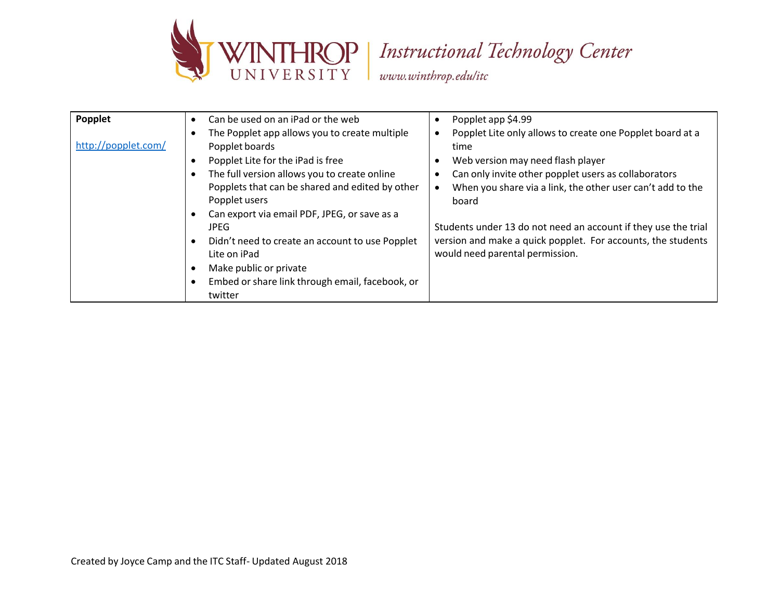

# THROP | Instructional Technology Center

www.winthrop.edulitc

| Popplet<br>http://popplet.com/ | Can be used on an iPad or the web<br>The Popplet app allows you to create multiple<br>Popplet boards<br>Popplet Lite for the iPad is free<br>The full version allows you to create online<br>Popplets that can be shared and edited by other<br>Popplet users<br>Can export via email PDF, JPEG, or save as a<br><b>JPEG</b><br>Didn't need to create an account to use Popplet<br>Lite on iPad<br>Make public or private<br>Embed or share link through email, facebook, or<br>twitter | Popplet app \$4.99<br>$\bullet$<br>Popplet Lite only allows to create one Popplet board at a<br>time<br>Web version may need flash player<br>Can only invite other popplet users as collaborators<br>When you share via a link, the other user can't add to the<br>$\bullet$<br>board<br>Students under 13 do not need an account if they use the trial<br>version and make a quick popplet. For accounts, the students<br>would need parental permission. |
|--------------------------------|-----------------------------------------------------------------------------------------------------------------------------------------------------------------------------------------------------------------------------------------------------------------------------------------------------------------------------------------------------------------------------------------------------------------------------------------------------------------------------------------|------------------------------------------------------------------------------------------------------------------------------------------------------------------------------------------------------------------------------------------------------------------------------------------------------------------------------------------------------------------------------------------------------------------------------------------------------------|
|--------------------------------|-----------------------------------------------------------------------------------------------------------------------------------------------------------------------------------------------------------------------------------------------------------------------------------------------------------------------------------------------------------------------------------------------------------------------------------------------------------------------------------------|------------------------------------------------------------------------------------------------------------------------------------------------------------------------------------------------------------------------------------------------------------------------------------------------------------------------------------------------------------------------------------------------------------------------------------------------------------|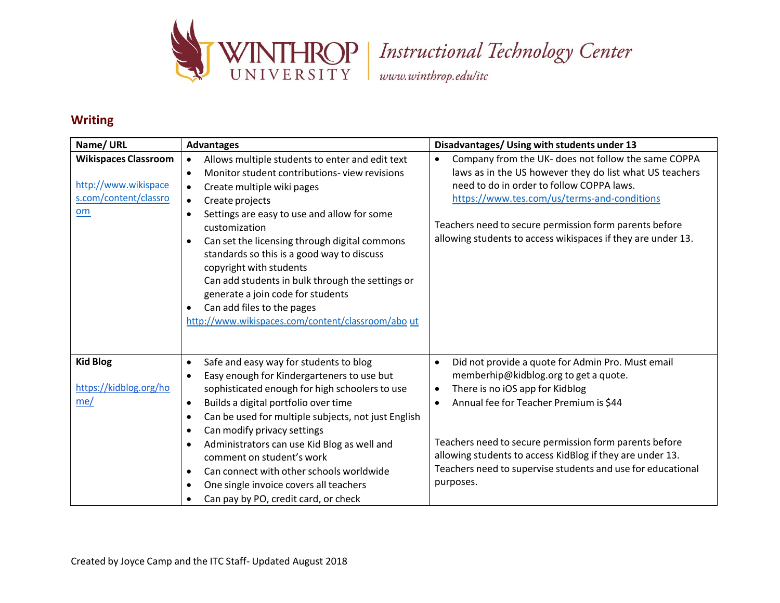

#### **Writing**

| Name/URL                                                                           | <b>Advantages</b>                                                                                                                                                                                                                                                                                                                                                                                                                                                                                                                                                                        | Disadvantages/ Using with students under 13                                                                                                                                                                                                                                                                                                                                                                       |
|------------------------------------------------------------------------------------|------------------------------------------------------------------------------------------------------------------------------------------------------------------------------------------------------------------------------------------------------------------------------------------------------------------------------------------------------------------------------------------------------------------------------------------------------------------------------------------------------------------------------------------------------------------------------------------|-------------------------------------------------------------------------------------------------------------------------------------------------------------------------------------------------------------------------------------------------------------------------------------------------------------------------------------------------------------------------------------------------------------------|
| <b>Wikispaces Classroom</b><br>http://www.wikispace<br>s.com/content/classro<br>om | Allows multiple students to enter and edit text<br>Monitor student contributions-view revisions<br>$\bullet$<br>Create multiple wiki pages<br>$\bullet$<br>Create projects<br>$\bullet$<br>Settings are easy to use and allow for some<br>$\bullet$<br>customization<br>Can set the licensing through digital commons<br>$\bullet$<br>standards so this is a good way to discuss<br>copyright with students<br>Can add students in bulk through the settings or<br>generate a join code for students<br>Can add files to the pages<br>http://www.wikispaces.com/content/classroom/abo ut | Company from the UK- does not follow the same COPPA<br>$\bullet$<br>laws as in the US however they do list what US teachers<br>need to do in order to follow COPPA laws.<br>https://www.tes.com/us/terms-and-conditions<br>Teachers need to secure permission form parents before<br>allowing students to access wikispaces if they are under 13.                                                                 |
| <b>Kid Blog</b><br>https://kidblog.org/ho<br>me/                                   | Safe and easy way for students to blog<br>$\bullet$<br>Easy enough for Kindergarteners to use but<br>$\bullet$<br>sophisticated enough for high schoolers to use<br>Builds a digital portfolio over time<br>$\bullet$<br>Can be used for multiple subjects, not just English<br>٠<br>Can modify privacy settings<br>٠<br>Administrators can use Kid Blog as well and<br>$\bullet$<br>comment on student's work<br>Can connect with other schools worldwide<br>$\bullet$<br>One single invoice covers all teachers<br>$\bullet$<br>Can pay by PO, credit card, or check                   | Did not provide a quote for Admin Pro. Must email<br>$\bullet$<br>memberhip@kidblog.org to get a quote.<br>There is no iOS app for Kidblog<br>$\bullet$<br>Annual fee for Teacher Premium is \$44<br>$\bullet$<br>Teachers need to secure permission form parents before<br>allowing students to access KidBlog if they are under 13.<br>Teachers need to supervise students and use for educational<br>purposes. |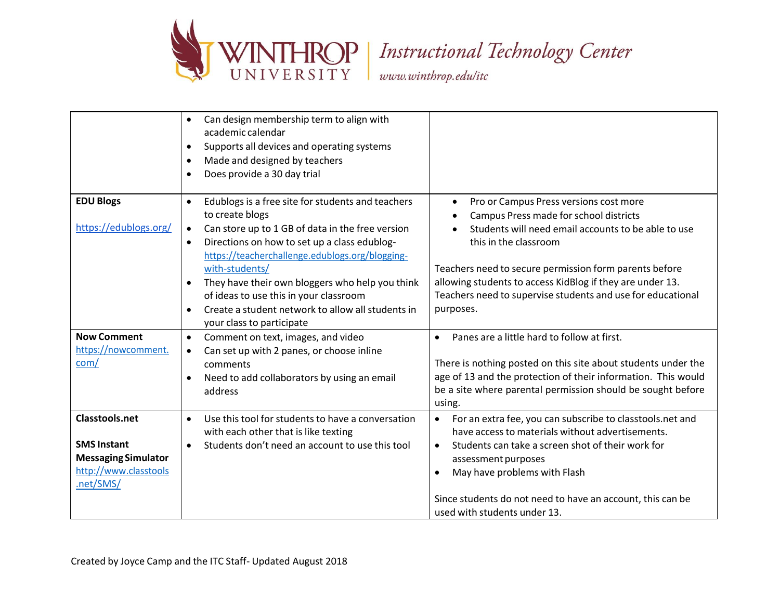

# THROP | Instructional Technology Center

www.winthrop.edulitc

|                            | Can design membership term to align with<br>$\bullet$<br>academic calendar |                                                                        |
|----------------------------|----------------------------------------------------------------------------|------------------------------------------------------------------------|
|                            |                                                                            |                                                                        |
|                            | Supports all devices and operating systems<br>$\bullet$                    |                                                                        |
|                            | Made and designed by teachers<br>$\bullet$                                 |                                                                        |
|                            | Does provide a 30 day trial<br>$\bullet$                                   |                                                                        |
| <b>EDU Blogs</b>           | Edublogs is a free site for students and teachers<br>$\bullet$             | Pro or Campus Press versions cost more<br>٠                            |
|                            | to create blogs                                                            | Campus Press made for school districts                                 |
| https://edublogs.org/      | $\bullet$                                                                  | Students will need email accounts to be able to use                    |
|                            | Can store up to 1 GB of data in the free version                           |                                                                        |
|                            | Directions on how to set up a class edublog-<br>$\bullet$                  | this in the classroom                                                  |
|                            | https://teacherchallenge.edublogs.org/blogging-                            |                                                                        |
|                            | with-students/                                                             | Teachers need to secure permission form parents before                 |
|                            | They have their own bloggers who help you think<br>$\bullet$               | allowing students to access KidBlog if they are under 13.              |
|                            | of ideas to use this in your classroom                                     | Teachers need to supervise students and use for educational            |
|                            | Create a student network to allow all students in<br>$\bullet$             | purposes.                                                              |
|                            | your class to participate                                                  |                                                                        |
| <b>Now Comment</b>         | Comment on text, images, and video<br>$\bullet$                            | Panes are a little hard to follow at first.                            |
| https://nowcomment.        | Can set up with 2 panes, or choose inline<br>$\bullet$                     |                                                                        |
| com/                       | comments                                                                   | There is nothing posted on this site about students under the          |
|                            |                                                                            | age of 13 and the protection of their information. This would          |
|                            | Need to add collaborators by using an email                                |                                                                        |
|                            | address                                                                    | be a site where parental permission should be sought before            |
|                            |                                                                            | using.                                                                 |
| <b>Classtools.net</b>      | Use this tool for students to have a conversation<br>$\bullet$             | For an extra fee, you can subscribe to classtools.net and<br>$\bullet$ |
|                            | with each other that is like texting                                       | have access to materials without advertisements.                       |
| <b>SMS Instant</b>         | Students don't need an account to use this tool<br>$\bullet$               | Students can take a screen shot of their work for<br>$\bullet$         |
| <b>Messaging Simulator</b> |                                                                            | assessment purposes                                                    |
| http://www.classtools      |                                                                            | May have problems with Flash                                           |
| .net/SMS/                  |                                                                            |                                                                        |
|                            |                                                                            | Since students do not need to have an account, this can be             |
|                            |                                                                            | used with students under 13.                                           |